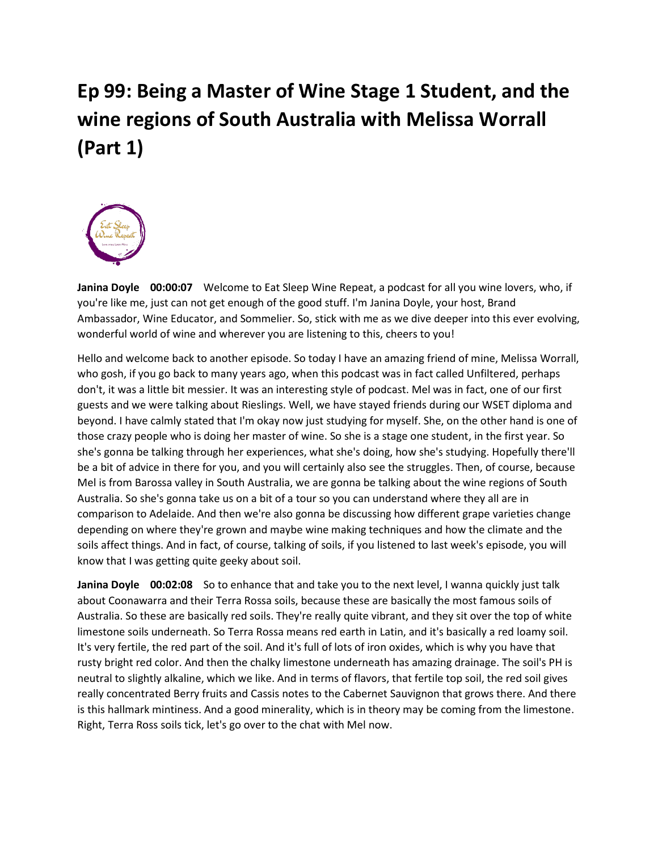## **Ep 99: Being a Master of Wine Stage 1 Student, and the wine regions of South Australia with Melissa Worrall (Part 1)**



**Janina Doyle 00:00:07** Welcome to Eat Sleep Wine Repeat, a podcast for all you wine lovers, who, if you're like me, just can not get enough of the good stuff. I'm Janina Doyle, your host, Brand Ambassador, Wine Educator, and Sommelier. So, stick with me as we dive deeper into this ever evolving, wonderful world of wine and wherever you are listening to this, cheers to you!

Hello and welcome back to another episode. So today I have an amazing friend of mine, Melissa Worrall, who gosh, if you go back to many years ago, when this podcast was in fact called Unfiltered, perhaps don't, it was a little bit messier. It was an interesting style of podcast. Mel was in fact, one of our first guests and we were talking about Rieslings. Well, we have stayed friends during our WSET diploma and beyond. I have calmly stated that I'm okay now just studying for myself. She, on the other hand is one of those crazy people who is doing her master of wine. So she is a stage one student, in the first year. So she's gonna be talking through her experiences, what she's doing, how she's studying. Hopefully there'll be a bit of advice in there for you, and you will certainly also see the struggles. Then, of course, because Mel is from Barossa valley in South Australia, we are gonna be talking about the wine regions of South Australia. So she's gonna take us on a bit of a tour so you can understand where they all are in comparison to Adelaide. And then we're also gonna be discussing how different grape varieties change depending on where they're grown and maybe wine making techniques and how the climate and the soils affect things. And in fact, of course, talking of soils, if you listened to last week's episode, you will know that I was getting quite geeky about soil.

**Janina Doyle 00:02:08** So to enhance that and take you to the next level, I wanna quickly just talk about Coonawarra and their Terra Rossa soils, because these are basically the most famous soils of Australia. So these are basically red soils. They're really quite vibrant, and they sit over the top of white limestone soils underneath. So Terra Rossa means red earth in Latin, and it's basically a red loamy soil. It's very fertile, the red part of the soil. And it's full of lots of iron oxides, which is why you have that rusty bright red color. And then the chalky limestone underneath has amazing drainage. The soil's PH is neutral to slightly alkaline, which we like. And in terms of flavors, that fertile top soil, the red soil gives really concentrated Berry fruits and Cassis notes to the Cabernet Sauvignon that grows there. And there is this hallmark mintiness. And a good minerality, which is in theory may be coming from the limestone. Right, Terra Ross soils tick, let's go over to the chat with Mel now.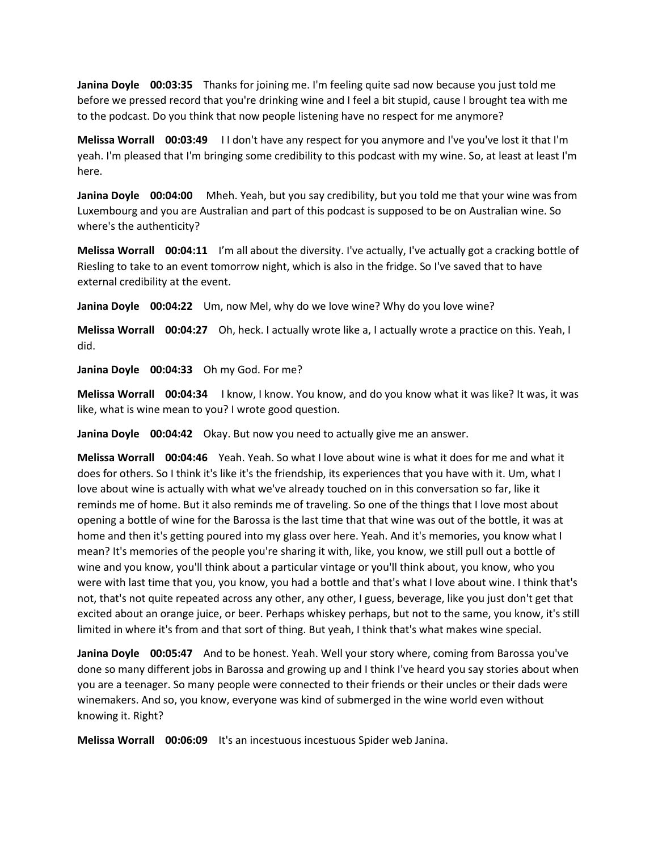**Janina Doyle 00:03:35** Thanks for joining me. I'm feeling quite sad now because you just told me before we pressed record that you're drinking wine and I feel a bit stupid, cause I brought tea with me to the podcast. Do you think that now people listening have no respect for me anymore?

**Melissa Worrall 00:03:49** I I don't have any respect for you anymore and I've you've lost it that I'm yeah. I'm pleased that I'm bringing some credibility to this podcast with my wine. So, at least at least I'm here.

**Janina Doyle 00:04:00** Mheh. Yeah, but you say credibility, but you told me that your wine was from Luxembourg and you are Australian and part of this podcast is supposed to be on Australian wine. So where's the authenticity?

**Melissa Worrall 00:04:11** I'm all about the diversity. I've actually, I've actually got a cracking bottle of Riesling to take to an event tomorrow night, which is also in the fridge. So I've saved that to have external credibility at the event.

**Janina Doyle 00:04:22** Um, now Mel, why do we love wine? Why do you love wine?

**Melissa Worrall 00:04:27** Oh, heck. I actually wrote like a, I actually wrote a practice on this. Yeah, I did.

**Janina Doyle 00:04:33** Oh my God. For me?

**Melissa Worrall 00:04:34** I know, I know. You know, and do you know what it was like? It was, it was like, what is wine mean to you? I wrote good question.

**Janina Doyle 00:04:42** Okay. But now you need to actually give me an answer.

**Melissa Worrall 00:04:46** Yeah. Yeah. So what I love about wine is what it does for me and what it does for others. So I think it's like it's the friendship, its experiences that you have with it. Um, what I love about wine is actually with what we've already touched on in this conversation so far, like it reminds me of home. But it also reminds me of traveling. So one of the things that I love most about opening a bottle of wine for the Barossa is the last time that that wine was out of the bottle, it was at home and then it's getting poured into my glass over here. Yeah. And it's memories, you know what I mean? It's memories of the people you're sharing it with, like, you know, we still pull out a bottle of wine and you know, you'll think about a particular vintage or you'll think about, you know, who you were with last time that you, you know, you had a bottle and that's what I love about wine. I think that's not, that's not quite repeated across any other, any other, I guess, beverage, like you just don't get that excited about an orange juice, or beer. Perhaps whiskey perhaps, but not to the same, you know, it's still limited in where it's from and that sort of thing. But yeah, I think that's what makes wine special.

**Janina Doyle 00:05:47** And to be honest. Yeah. Well your story where, coming from Barossa you've done so many different jobs in Barossa and growing up and I think I've heard you say stories about when you are a teenager. So many people were connected to their friends or their uncles or their dads were winemakers. And so, you know, everyone was kind of submerged in the wine world even without knowing it. Right?

**Melissa Worrall 00:06:09** It's an incestuous incestuous Spider web Janina.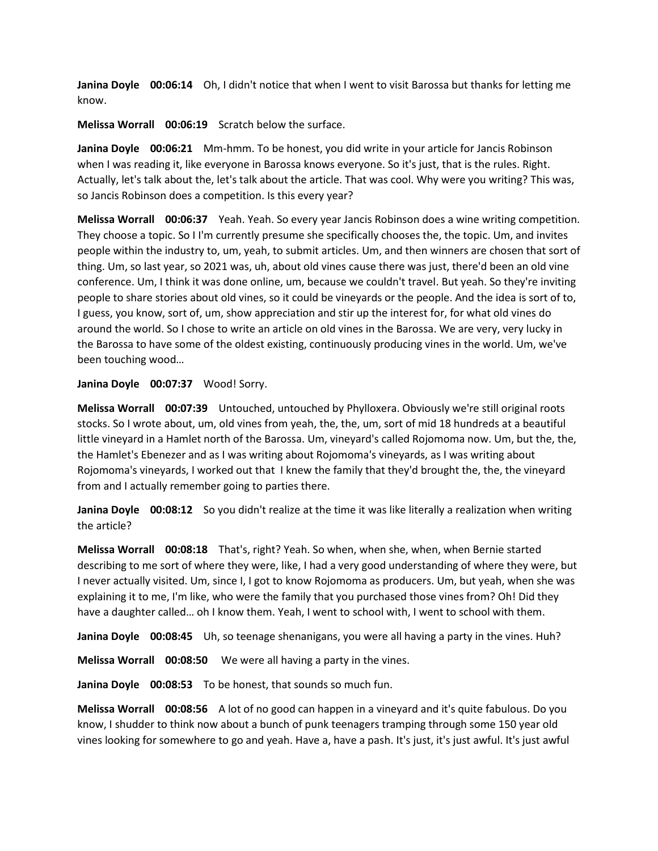**Janina Doyle 00:06:14** Oh, I didn't notice that when I went to visit Barossa but thanks for letting me know.

**Melissa Worrall 00:06:19** Scratch below the surface.

**Janina Doyle 00:06:21** Mm-hmm. To be honest, you did write in your article for Jancis Robinson when I was reading it, like everyone in Barossa knows everyone. So it's just, that is the rules. Right. Actually, let's talk about the, let's talk about the article. That was cool. Why were you writing? This was, so Jancis Robinson does a competition. Is this every year?

**Melissa Worrall 00:06:37** Yeah. Yeah. So every year Jancis Robinson does a wine writing competition. They choose a topic. So I I'm currently presume she specifically chooses the, the topic. Um, and invites people within the industry to, um, yeah, to submit articles. Um, and then winners are chosen that sort of thing. Um, so last year, so 2021 was, uh, about old vines cause there was just, there'd been an old vine conference. Um, I think it was done online, um, because we couldn't travel. But yeah. So they're inviting people to share stories about old vines, so it could be vineyards or the people. And the idea is sort of to, I guess, you know, sort of, um, show appreciation and stir up the interest for, for what old vines do around the world. So I chose to write an article on old vines in the Barossa. We are very, very lucky in the Barossa to have some of the oldest existing, continuously producing vines in the world. Um, we've been touching wood…

## Janina Doyle 00:07:37 Wood! Sorry.

**Melissa Worrall 00:07:39** Untouched, untouched by Phylloxera. Obviously we're still original roots stocks. So I wrote about, um, old vines from yeah, the, the, um, sort of mid 18 hundreds at a beautiful little vineyard in a Hamlet north of the Barossa. Um, vineyard's called Rojomoma now. Um, but the, the, the Hamlet's Ebenezer and as I was writing about Rojomoma's vineyards, as I was writing about Rojomoma's vineyards, I worked out that I knew the family that they'd brought the, the, the vineyard from and I actually remember going to parties there.

**Janina Doyle 00:08:12** So you didn't realize at the time it was like literally a realization when writing the article?

**Melissa Worrall 00:08:18** That's, right? Yeah. So when, when she, when, when Bernie started describing to me sort of where they were, like, I had a very good understanding of where they were, but I never actually visited. Um, since I, I got to know Rojomoma as producers. Um, but yeah, when she was explaining it to me, I'm like, who were the family that you purchased those vines from? Oh! Did they have a daughter called… oh I know them. Yeah, I went to school with, I went to school with them.

**Janina Doyle 00:08:45** Uh, so teenage shenanigans, you were all having a party in the vines. Huh?

**Melissa Worrall 00:08:50** We were all having a party in the vines.

**Janina Doyle 00:08:53** To be honest, that sounds so much fun.

**Melissa Worrall 00:08:56** A lot of no good can happen in a vineyard and it's quite fabulous. Do you know, I shudder to think now about a bunch of punk teenagers tramping through some 150 year old vines looking for somewhere to go and yeah. Have a, have a pash. It's just, it's just awful. It's just awful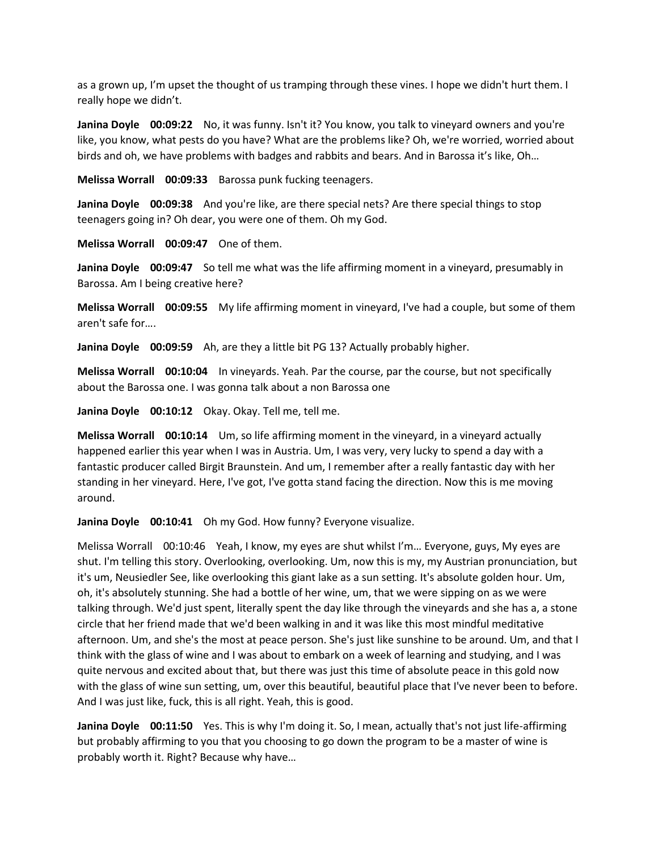as a grown up, I'm upset the thought of us tramping through these vines. I hope we didn't hurt them. I really hope we didn't.

**Janina Doyle 00:09:22** No, it was funny. Isn't it? You know, you talk to vineyard owners and you're like, you know, what pests do you have? What are the problems like? Oh, we're worried, worried about birds and oh, we have problems with badges and rabbits and bears. And in Barossa it's like, Oh…

**Melissa Worrall 00:09:33** Barossa punk fucking teenagers.

**Janina Doyle 00:09:38** And you're like, are there special nets? Are there special things to stop teenagers going in? Oh dear, you were one of them. Oh my God.

**Melissa Worrall 00:09:47** One of them.

**Janina Doyle 00:09:47** So tell me what was the life affirming moment in a vineyard, presumably in Barossa. Am I being creative here?

**Melissa Worrall 00:09:55** My life affirming moment in vineyard, I've had a couple, but some of them aren't safe for….

**Janina Doyle 00:09:59** Ah, are they a little bit PG 13? Actually probably higher.

**Melissa Worrall 00:10:04** In vineyards. Yeah. Par the course, par the course, but not specifically about the Barossa one. I was gonna talk about a non Barossa one

**Janina Doyle 00:10:12** Okay. Okay. Tell me, tell me.

**Melissa Worrall 00:10:14** Um, so life affirming moment in the vineyard, in a vineyard actually happened earlier this year when I was in Austria. Um, I was very, very lucky to spend a day with a fantastic producer called Birgit Braunstein. And um, I remember after a really fantastic day with her standing in her vineyard. Here, I've got, I've gotta stand facing the direction. Now this is me moving around.

**Janina Doyle 00:10:41** Oh my God. How funny? Everyone visualize.

Melissa Worrall 00:10:46 Yeah, I know, my eyes are shut whilst I'm… Everyone, guys, My eyes are shut. I'm telling this story. Overlooking, overlooking. Um, now this is my, my Austrian pronunciation, but it's um, Neusiedler See, like overlooking this giant lake as a sun setting. It's absolute golden hour. Um, oh, it's absolutely stunning. She had a bottle of her wine, um, that we were sipping on as we were talking through. We'd just spent, literally spent the day like through the vineyards and she has a, a stone circle that her friend made that we'd been walking in and it was like this most mindful meditative afternoon. Um, and she's the most at peace person. She's just like sunshine to be around. Um, and that I think with the glass of wine and I was about to embark on a week of learning and studying, and I was quite nervous and excited about that, but there was just this time of absolute peace in this gold now with the glass of wine sun setting, um, over this beautiful, beautiful place that I've never been to before. And I was just like, fuck, this is all right. Yeah, this is good.

**Janina Doyle 00:11:50** Yes. This is why I'm doing it. So, I mean, actually that's not just life-affirming but probably affirming to you that you choosing to go down the program to be a master of wine is probably worth it. Right? Because why have…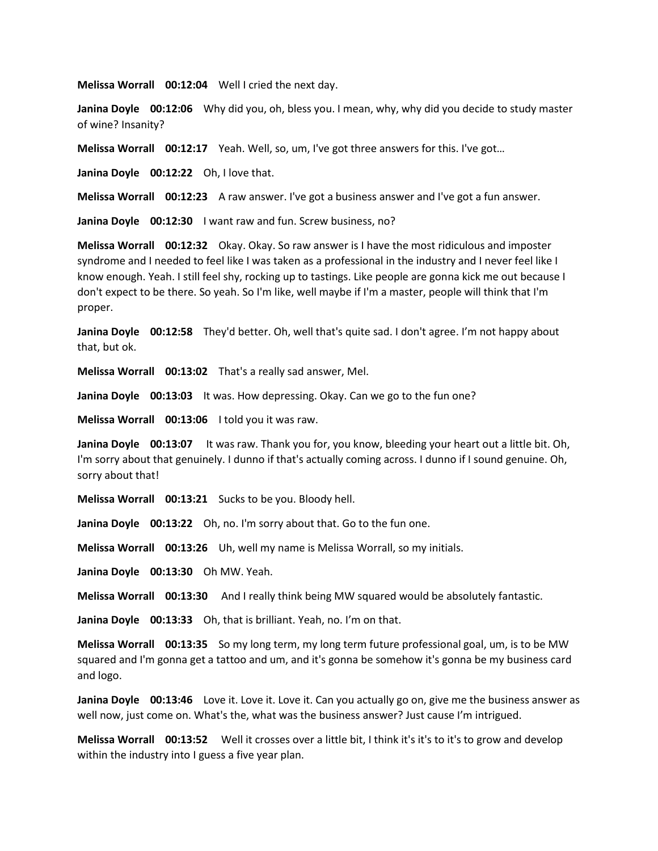**Melissa Worrall 00:12:04** Well I cried the next day.

**Janina Doyle 00:12:06** Why did you, oh, bless you. I mean, why, why did you decide to study master of wine? Insanity?

**Melissa Worrall 00:12:17** Yeah. Well, so, um, I've got three answers for this. I've got…

**Janina Doyle 00:12:22** Oh, I love that.

**Melissa Worrall 00:12:23** A raw answer. I've got a business answer and I've got a fun answer.

**Janina Doyle 00:12:30** I want raw and fun. Screw business, no?

**Melissa Worrall 00:12:32** Okay. Okay. So raw answer is I have the most ridiculous and imposter syndrome and I needed to feel like I was taken as a professional in the industry and I never feel like I know enough. Yeah. I still feel shy, rocking up to tastings. Like people are gonna kick me out because I don't expect to be there. So yeah. So I'm like, well maybe if I'm a master, people will think that I'm proper.

**Janina Doyle 00:12:58** They'd better. Oh, well that's quite sad. I don't agree. I'm not happy about that, but ok.

**Melissa Worrall 00:13:02** That's a really sad answer, Mel.

**Janina Doyle 00:13:03** It was. How depressing. Okay. Can we go to the fun one?

**Melissa Worrall 00:13:06** I told you it was raw.

**Janina Doyle 00:13:07** It was raw. Thank you for, you know, bleeding your heart out a little bit. Oh, I'm sorry about that genuinely. I dunno if that's actually coming across. I dunno if I sound genuine. Oh, sorry about that!

**Melissa Worrall 00:13:21** Sucks to be you. Bloody hell.

**Janina Doyle 00:13:22** Oh, no. I'm sorry about that. Go to the fun one.

**Melissa Worrall 00:13:26** Uh, well my name is Melissa Worrall, so my initials.

**Janina Doyle 00:13:30** Oh MW. Yeah.

**Melissa Worrall 00:13:30** And I really think being MW squared would be absolutely fantastic.

**Janina Doyle 00:13:33** Oh, that is brilliant. Yeah, no. I'm on that.

**Melissa Worrall 00:13:35** So my long term, my long term future professional goal, um, is to be MW squared and I'm gonna get a tattoo and um, and it's gonna be somehow it's gonna be my business card and logo.

**Janina Doyle 00:13:46** Love it. Love it. Love it. Can you actually go on, give me the business answer as well now, just come on. What's the, what was the business answer? Just cause I'm intrigued.

**Melissa Worrall 00:13:52** Well it crosses over a little bit, I think it's it's to it's to grow and develop within the industry into I guess a five year plan.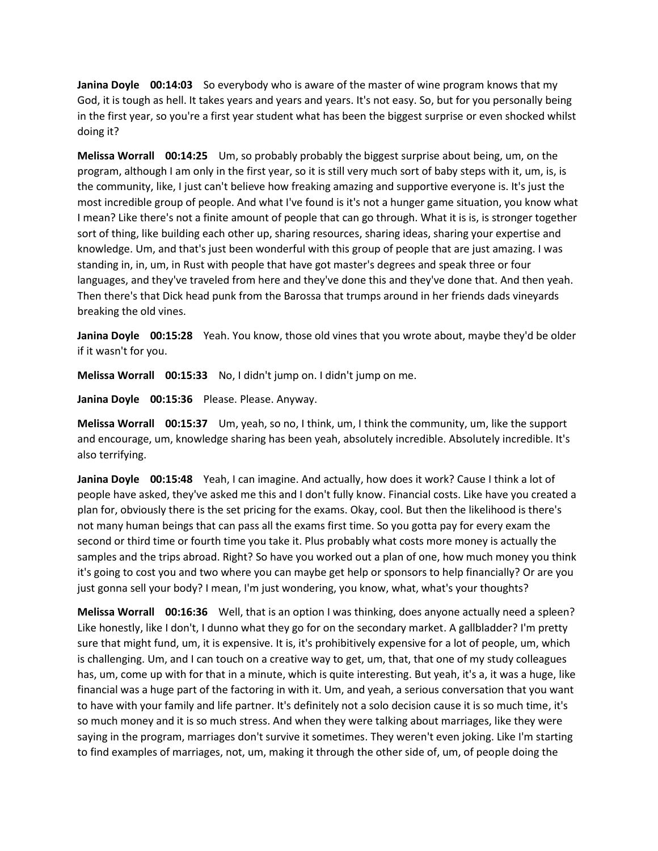**Janina Doyle 00:14:03** So everybody who is aware of the master of wine program knows that my God, it is tough as hell. It takes years and years and years. It's not easy. So, but for you personally being in the first year, so you're a first year student what has been the biggest surprise or even shocked whilst doing it?

**Melissa Worrall 00:14:25** Um, so probably probably the biggest surprise about being, um, on the program, although I am only in the first year, so it is still very much sort of baby steps with it, um, is, is the community, like, I just can't believe how freaking amazing and supportive everyone is. It's just the most incredible group of people. And what I've found is it's not a hunger game situation, you know what I mean? Like there's not a finite amount of people that can go through. What it is is, is stronger together sort of thing, like building each other up, sharing resources, sharing ideas, sharing your expertise and knowledge. Um, and that's just been wonderful with this group of people that are just amazing. I was standing in, in, um, in Rust with people that have got master's degrees and speak three or four languages, and they've traveled from here and they've done this and they've done that. And then yeah. Then there's that Dick head punk from the Barossa that trumps around in her friends dads vineyards breaking the old vines.

**Janina Doyle 00:15:28** Yeah. You know, those old vines that you wrote about, maybe they'd be older if it wasn't for you.

**Melissa Worrall 00:15:33** No, I didn't jump on. I didn't jump on me.

**Janina Doyle 00:15:36** Please. Please. Anyway.

**Melissa Worrall 00:15:37** Um, yeah, so no, I think, um, I think the community, um, like the support and encourage, um, knowledge sharing has been yeah, absolutely incredible. Absolutely incredible. It's also terrifying.

**Janina Doyle 00:15:48** Yeah, I can imagine. And actually, how does it work? Cause I think a lot of people have asked, they've asked me this and I don't fully know. Financial costs. Like have you created a plan for, obviously there is the set pricing for the exams. Okay, cool. But then the likelihood is there's not many human beings that can pass all the exams first time. So you gotta pay for every exam the second or third time or fourth time you take it. Plus probably what costs more money is actually the samples and the trips abroad. Right? So have you worked out a plan of one, how much money you think it's going to cost you and two where you can maybe get help or sponsors to help financially? Or are you just gonna sell your body? I mean, I'm just wondering, you know, what, what's your thoughts?

**Melissa Worrall 00:16:36** Well, that is an option I was thinking, does anyone actually need a spleen? Like honestly, like I don't, I dunno what they go for on the secondary market. A gallbladder? I'm pretty sure that might fund, um, it is expensive. It is, it's prohibitively expensive for a lot of people, um, which is challenging. Um, and I can touch on a creative way to get, um, that, that one of my study colleagues has, um, come up with for that in a minute, which is quite interesting. But yeah, it's a, it was a huge, like financial was a huge part of the factoring in with it. Um, and yeah, a serious conversation that you want to have with your family and life partner. It's definitely not a solo decision cause it is so much time, it's so much money and it is so much stress. And when they were talking about marriages, like they were saying in the program, marriages don't survive it sometimes. They weren't even joking. Like I'm starting to find examples of marriages, not, um, making it through the other side of, um, of people doing the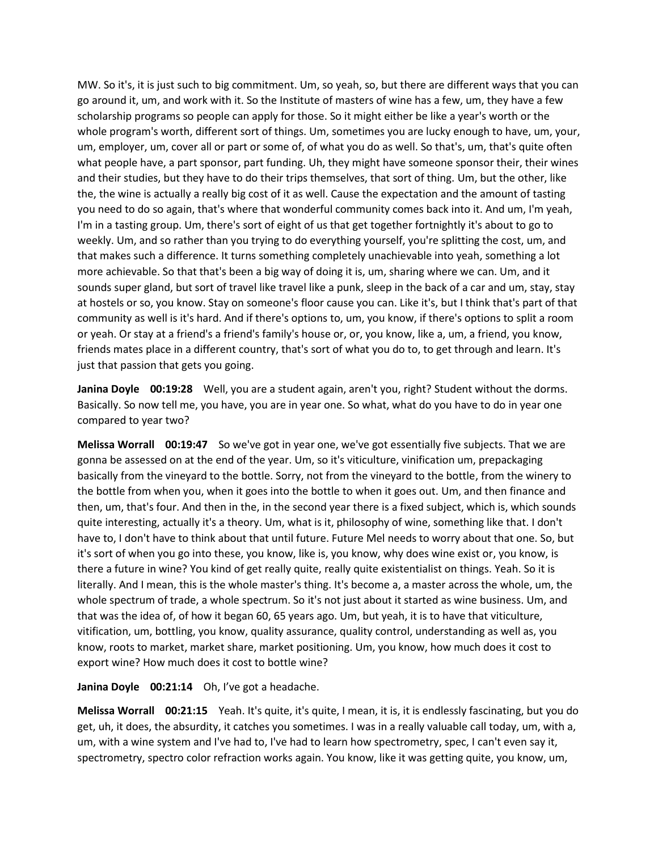MW. So it's, it is just such to big commitment. Um, so yeah, so, but there are different ways that you can go around it, um, and work with it. So the Institute of masters of wine has a few, um, they have a few scholarship programs so people can apply for those. So it might either be like a year's worth or the whole program's worth, different sort of things. Um, sometimes you are lucky enough to have, um, your, um, employer, um, cover all or part or some of, of what you do as well. So that's, um, that's quite often what people have, a part sponsor, part funding. Uh, they might have someone sponsor their, their wines and their studies, but they have to do their trips themselves, that sort of thing. Um, but the other, like the, the wine is actually a really big cost of it as well. Cause the expectation and the amount of tasting you need to do so again, that's where that wonderful community comes back into it. And um, I'm yeah, I'm in a tasting group. Um, there's sort of eight of us that get together fortnightly it's about to go to weekly. Um, and so rather than you trying to do everything yourself, you're splitting the cost, um, and that makes such a difference. It turns something completely unachievable into yeah, something a lot more achievable. So that that's been a big way of doing it is, um, sharing where we can. Um, and it sounds super gland, but sort of travel like travel like a punk, sleep in the back of a car and um, stay, stay at hostels or so, you know. Stay on someone's floor cause you can. Like it's, but I think that's part of that community as well is it's hard. And if there's options to, um, you know, if there's options to split a room or yeah. Or stay at a friend's a friend's family's house or, or, you know, like a, um, a friend, you know, friends mates place in a different country, that's sort of what you do to, to get through and learn. It's just that passion that gets you going.

**Janina Doyle 00:19:28** Well, you are a student again, aren't you, right? Student without the dorms. Basically. So now tell me, you have, you are in year one. So what, what do you have to do in year one compared to year two?

**Melissa Worrall 00:19:47** So we've got in year one, we've got essentially five subjects. That we are gonna be assessed on at the end of the year. Um, so it's viticulture, vinification um, prepackaging basically from the vineyard to the bottle. Sorry, not from the vineyard to the bottle, from the winery to the bottle from when you, when it goes into the bottle to when it goes out. Um, and then finance and then, um, that's four. And then in the, in the second year there is a fixed subject, which is, which sounds quite interesting, actually it's a theory. Um, what is it, philosophy of wine, something like that. I don't have to, I don't have to think about that until future. Future Mel needs to worry about that one. So, but it's sort of when you go into these, you know, like is, you know, why does wine exist or, you know, is there a future in wine? You kind of get really quite, really quite existentialist on things. Yeah. So it is literally. And I mean, this is the whole master's thing. It's become a, a master across the whole, um, the whole spectrum of trade, a whole spectrum. So it's not just about it started as wine business. Um, and that was the idea of, of how it began 60, 65 years ago. Um, but yeah, it is to have that viticulture, vitification, um, bottling, you know, quality assurance, quality control, understanding as well as, you know, roots to market, market share, market positioning. Um, you know, how much does it cost to export wine? How much does it cost to bottle wine?

**Janina Doyle 00:21:14** Oh, I've got a headache.

**Melissa Worrall 00:21:15** Yeah. It's quite, it's quite, I mean, it is, it is endlessly fascinating, but you do get, uh, it does, the absurdity, it catches you sometimes. I was in a really valuable call today, um, with a, um, with a wine system and I've had to, I've had to learn how spectrometry, spec, I can't even say it, spectrometry, spectro color refraction works again. You know, like it was getting quite, you know, um,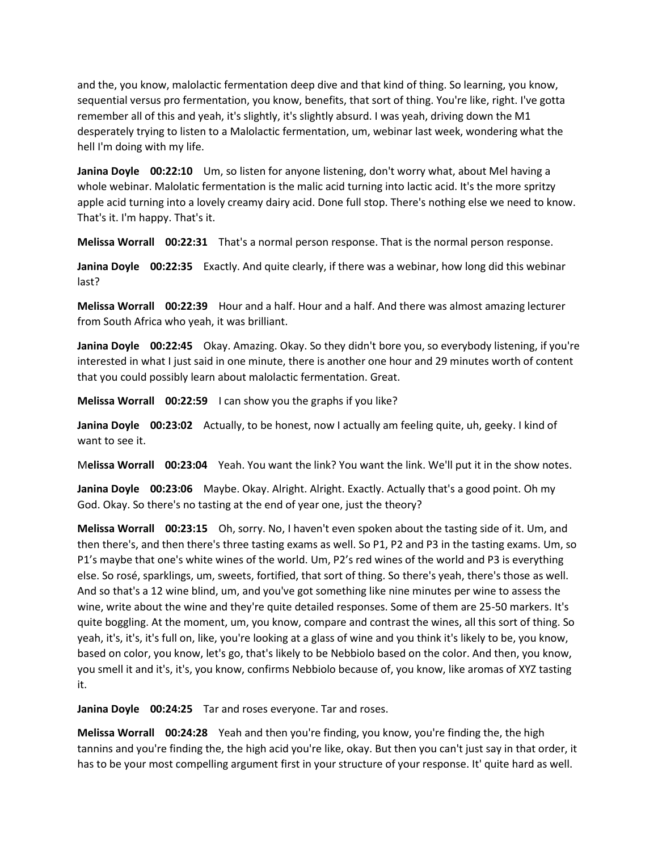and the, you know, malolactic fermentation deep dive and that kind of thing. So learning, you know, sequential versus pro fermentation, you know, benefits, that sort of thing. You're like, right. I've gotta remember all of this and yeah, it's slightly, it's slightly absurd. I was yeah, driving down the M1 desperately trying to listen to a Malolactic fermentation, um, webinar last week, wondering what the hell I'm doing with my life.

**Janina Doyle 00:22:10** Um, so listen for anyone listening, don't worry what, about Mel having a whole webinar. Malolatic fermentation is the malic acid turning into lactic acid. It's the more spritzy apple acid turning into a lovely creamy dairy acid. Done full stop. There's nothing else we need to know. That's it. I'm happy. That's it.

**Melissa Worrall 00:22:31** That's a normal person response. That is the normal person response.

**Janina Doyle 00:22:35** Exactly. And quite clearly, if there was a webinar, how long did this webinar last?

**Melissa Worrall 00:22:39** Hour and a half. Hour and a half. And there was almost amazing lecturer from South Africa who yeah, it was brilliant.

**Janina Doyle 00:22:45** Okay. Amazing. Okay. So they didn't bore you, so everybody listening, if you're interested in what I just said in one minute, there is another one hour and 29 minutes worth of content that you could possibly learn about malolactic fermentation. Great.

**Melissa Worrall 00:22:59** I can show you the graphs if you like?

**Janina Doyle 00:23:02** Actually, to be honest, now I actually am feeling quite, uh, geeky. I kind of want to see it.

M**elissa Worrall 00:23:04** Yeah. You want the link? You want the link. We'll put it in the show notes.

**Janina Doyle 00:23:06** Maybe. Okay. Alright. Alright. Exactly. Actually that's a good point. Oh my God. Okay. So there's no tasting at the end of year one, just the theory?

**Melissa Worrall 00:23:15** Oh, sorry. No, I haven't even spoken about the tasting side of it. Um, and then there's, and then there's three tasting exams as well. So P1, P2 and P3 in the tasting exams. Um, so P1's maybe that one's white wines of the world. Um, P2's red wines of the world and P3 is everything else. So rosé, sparklings, um, sweets, fortified, that sort of thing. So there's yeah, there's those as well. And so that's a 12 wine blind, um, and you've got something like nine minutes per wine to assess the wine, write about the wine and they're quite detailed responses. Some of them are 25-50 markers. It's quite boggling. At the moment, um, you know, compare and contrast the wines, all this sort of thing. So yeah, it's, it's, it's full on, like, you're looking at a glass of wine and you think it's likely to be, you know, based on color, you know, let's go, that's likely to be Nebbiolo based on the color. And then, you know, you smell it and it's, it's, you know, confirms Nebbiolo because of, you know, like aromas of XYZ tasting it.

**Janina Doyle 00:24:25** Tar and roses everyone. Tar and roses.

**Melissa Worrall 00:24:28** Yeah and then you're finding, you know, you're finding the, the high tannins and you're finding the, the high acid you're like, okay. But then you can't just say in that order, it has to be your most compelling argument first in your structure of your response. It' quite hard as well.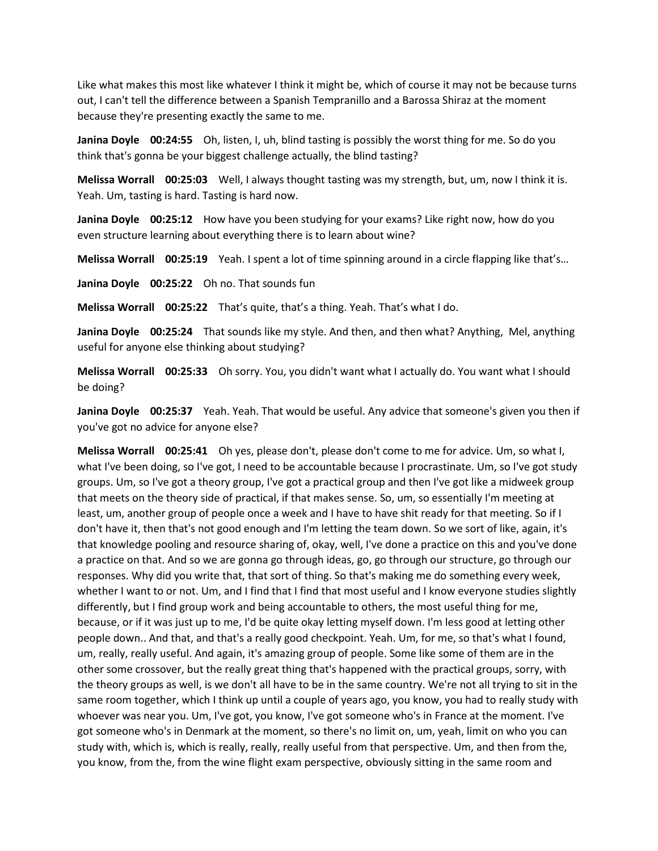Like what makes this most like whatever I think it might be, which of course it may not be because turns out, I can't tell the difference between a Spanish Tempranillo and a Barossa Shiraz at the moment because they're presenting exactly the same to me.

**Janina Doyle 00:24:55** Oh, listen, I, uh, blind tasting is possibly the worst thing for me. So do you think that's gonna be your biggest challenge actually, the blind tasting?

**Melissa Worrall 00:25:03** Well, I always thought tasting was my strength, but, um, now I think it is. Yeah. Um, tasting is hard. Tasting is hard now.

**Janina Doyle 00:25:12** How have you been studying for your exams? Like right now, how do you even structure learning about everything there is to learn about wine?

**Melissa Worrall 00:25:19** Yeah. I spent a lot of time spinning around in a circle flapping like that's…

**Janina Doyle 00:25:22** Oh no. That sounds fun

**Melissa Worrall 00:25:22** That's quite, that's a thing. Yeah. That's what I do.

**Janina Doyle 00:25:24** That sounds like my style. And then, and then what? Anything, Mel, anything useful for anyone else thinking about studying?

**Melissa Worrall 00:25:33** Oh sorry. You, you didn't want what I actually do. You want what I should be doing?

**Janina Doyle 00:25:37** Yeah. Yeah. That would be useful. Any advice that someone's given you then if you've got no advice for anyone else?

**Melissa Worrall 00:25:41** Oh yes, please don't, please don't come to me for advice. Um, so what I, what I've been doing, so I've got, I need to be accountable because I procrastinate. Um, so I've got study groups. Um, so I've got a theory group, I've got a practical group and then I've got like a midweek group that meets on the theory side of practical, if that makes sense. So, um, so essentially I'm meeting at least, um, another group of people once a week and I have to have shit ready for that meeting. So if I don't have it, then that's not good enough and I'm letting the team down. So we sort of like, again, it's that knowledge pooling and resource sharing of, okay, well, I've done a practice on this and you've done a practice on that. And so we are gonna go through ideas, go, go through our structure, go through our responses. Why did you write that, that sort of thing. So that's making me do something every week, whether I want to or not. Um, and I find that I find that most useful and I know everyone studies slightly differently, but I find group work and being accountable to others, the most useful thing for me, because, or if it was just up to me, I'd be quite okay letting myself down. I'm less good at letting other people down.. And that, and that's a really good checkpoint. Yeah. Um, for me, so that's what I found, um, really, really useful. And again, it's amazing group of people. Some like some of them are in the other some crossover, but the really great thing that's happened with the practical groups, sorry, with the theory groups as well, is we don't all have to be in the same country. We're not all trying to sit in the same room together, which I think up until a couple of years ago, you know, you had to really study with whoever was near you. Um, I've got, you know, I've got someone who's in France at the moment. I've got someone who's in Denmark at the moment, so there's no limit on, um, yeah, limit on who you can study with, which is, which is really, really, really useful from that perspective. Um, and then from the, you know, from the, from the wine flight exam perspective, obviously sitting in the same room and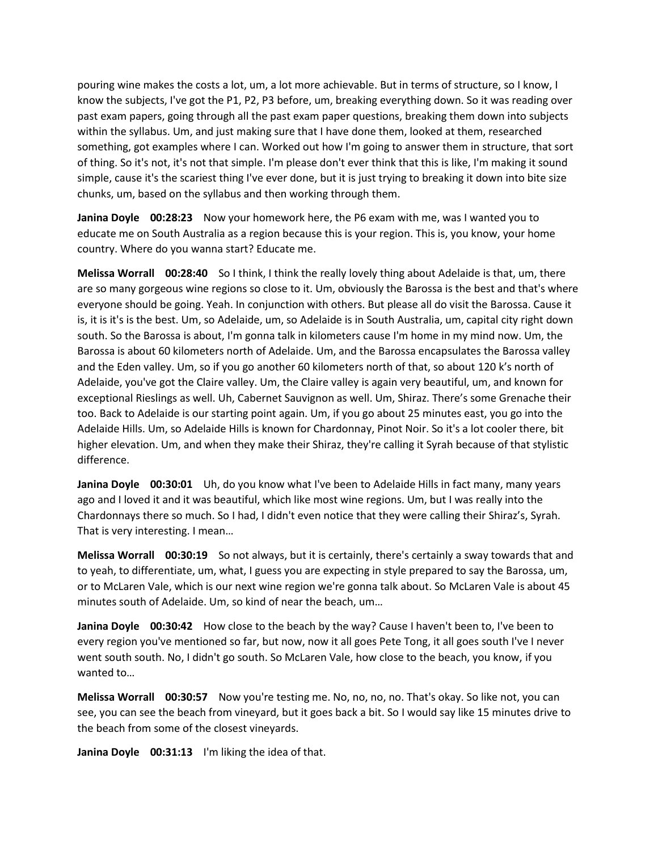pouring wine makes the costs a lot, um, a lot more achievable. But in terms of structure, so I know, I know the subjects, I've got the P1, P2, P3 before, um, breaking everything down. So it was reading over past exam papers, going through all the past exam paper questions, breaking them down into subjects within the syllabus. Um, and just making sure that I have done them, looked at them, researched something, got examples where I can. Worked out how I'm going to answer them in structure, that sort of thing. So it's not, it's not that simple. I'm please don't ever think that this is like, I'm making it sound simple, cause it's the scariest thing I've ever done, but it is just trying to breaking it down into bite size chunks, um, based on the syllabus and then working through them.

**Janina Doyle 00:28:23** Now your homework here, the P6 exam with me, was I wanted you to educate me on South Australia as a region because this is your region. This is, you know, your home country. Where do you wanna start? Educate me.

**Melissa Worrall 00:28:40** So I think, I think the really lovely thing about Adelaide is that, um, there are so many gorgeous wine regions so close to it. Um, obviously the Barossa is the best and that's where everyone should be going. Yeah. In conjunction with others. But please all do visit the Barossa. Cause it is, it is it's is the best. Um, so Adelaide, um, so Adelaide is in South Australia, um, capital city right down south. So the Barossa is about, I'm gonna talk in kilometers cause I'm home in my mind now. Um, the Barossa is about 60 kilometers north of Adelaide. Um, and the Barossa encapsulates the Barossa valley and the Eden valley. Um, so if you go another 60 kilometers north of that, so about 120 k's north of Adelaide, you've got the Claire valley. Um, the Claire valley is again very beautiful, um, and known for exceptional Rieslings as well. Uh, Cabernet Sauvignon as well. Um, Shiraz. There's some Grenache their too. Back to Adelaide is our starting point again. Um, if you go about 25 minutes east, you go into the Adelaide Hills. Um, so Adelaide Hills is known for Chardonnay, Pinot Noir. So it's a lot cooler there, bit higher elevation. Um, and when they make their Shiraz, they're calling it Syrah because of that stylistic difference.

**Janina Doyle 00:30:01** Uh, do you know what I've been to Adelaide Hills in fact many, many years ago and I loved it and it was beautiful, which like most wine regions. Um, but I was really into the Chardonnays there so much. So I had, I didn't even notice that they were calling their Shiraz's, Syrah. That is very interesting. I mean…

**Melissa Worrall 00:30:19** So not always, but it is certainly, there's certainly a sway towards that and to yeah, to differentiate, um, what, I guess you are expecting in style prepared to say the Barossa, um, or to McLaren Vale, which is our next wine region we're gonna talk about. So McLaren Vale is about 45 minutes south of Adelaide. Um, so kind of near the beach, um…

**Janina Doyle 00:30:42** How close to the beach by the way? Cause I haven't been to, I've been to every region you've mentioned so far, but now, now it all goes Pete Tong, it all goes south I've I never went south south. No, I didn't go south. So McLaren Vale, how close to the beach, you know, if you wanted to…

**Melissa Worrall 00:30:57** Now you're testing me. No, no, no, no. That's okay. So like not, you can see, you can see the beach from vineyard, but it goes back a bit. So I would say like 15 minutes drive to the beach from some of the closest vineyards.

**Janina Doyle 00:31:13** I'm liking the idea of that.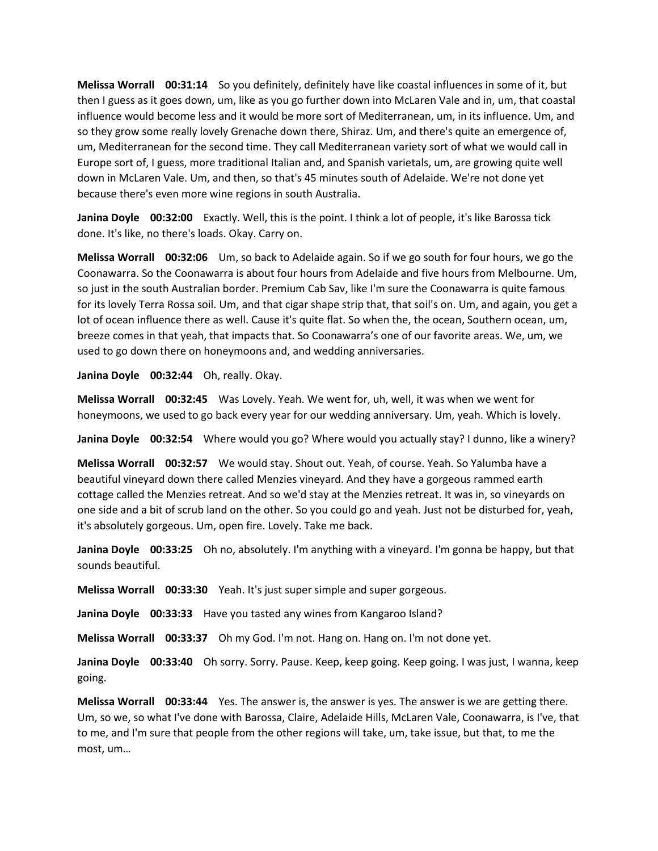**Melissa Worrall 00:31:14** So you definitely, definitely have like coastal influences in some of it, but then I guess as it goes down, um, like as you go further down into McLaren Vale and in, um, that coastal influence would become less and it would be more sort of Mediterranean, um, in its influence. Um, and so they grow some really lovely Grenache down there, Shiraz. Um, and there's quite an emergence of, um, Mediterranean for the second time. They call Mediterranean variety sort of what we would call in Europe sort of, I guess, more traditional Italian and, and Spanish varietals, um, are growing quite well down in McLaren Vale. Um, and then, so that's 45 minutes south of Adelaide. We're not done yet because there's even more wine regions in south Australia.

**Janina Doyle 00:32:00** Exactly. Well, this is the point. I think a lot of people, it's like Barossa tick done. It's like, no there's loads. Okay. Carry on.

**Melissa Worrall 00:32:06** Um, so back to Adelaide again. So if we go south for four hours, we go the Coonawarra. So the Coonawarra is about four hours from Adelaide and five hours from Melbourne. Um, so just in the south Australian border. Premium Cab Sav, like I'm sure the Coonawarra is quite famous for its lovely Terra Rossa soil. Um, and that cigar shape strip that, that soil's on. Um, and again, you get a lot of ocean influence there as well. Cause it's quite flat. So when the, the ocean, Southern ocean, um, breeze comes in that yeah, that impacts that. So Coonawarra's one of our favorite areas. We, um, we used to go down there on honeymoons and, and wedding anniversaries.

**Janina Doyle 00:32:44** Oh, really. Okay.

**Melissa Worrall 00:32:45** Was Lovely. Yeah. We went for, uh, well, it was when we went for honeymoons, we used to go back every year for our wedding anniversary. Um, yeah. Which is lovely.

**Janina Doyle 00:32:54** Where would you go? Where would you actually stay? I dunno, like a winery?

**Melissa Worrall 00:32:57** We would stay. Shout out. Yeah, of course. Yeah. So Yalumba have a beautiful vineyard down there called Menzies vineyard. And they have a gorgeous rammed earth cottage called the Menzies retreat. And so we'd stay at the Menzies retreat. It was in, so vineyards on one side and a bit of scrub land on the other. So you could go and yeah. Just not be disturbed for, yeah, it's absolutely gorgeous. Um, open fire. Lovely. Take me back.

**Janina Doyle 00:33:25** Oh no, absolutely. I'm anything with a vineyard. I'm gonna be happy, but that sounds beautiful.

**Melissa Worrall 00:33:30** Yeah. It's just super simple and super gorgeous.

**Janina Doyle 00:33:33** Have you tasted any wines from Kangaroo Island?

**Melissa Worrall 00:33:37** Oh my God. I'm not. Hang on. Hang on. I'm not done yet.

**Janina Doyle 00:33:40** Oh sorry. Sorry. Pause. Keep, keep going. Keep going. I was just, I wanna, keep going.

**Melissa Worrall 00:33:44** Yes. The answer is, the answer is yes. The answer is we are getting there. Um, so we, so what I've done with Barossa, Claire, Adelaide Hills, McLaren Vale, Coonawarra, is I've, that to me, and I'm sure that people from the other regions will take, um, take issue, but that, to me the most, um…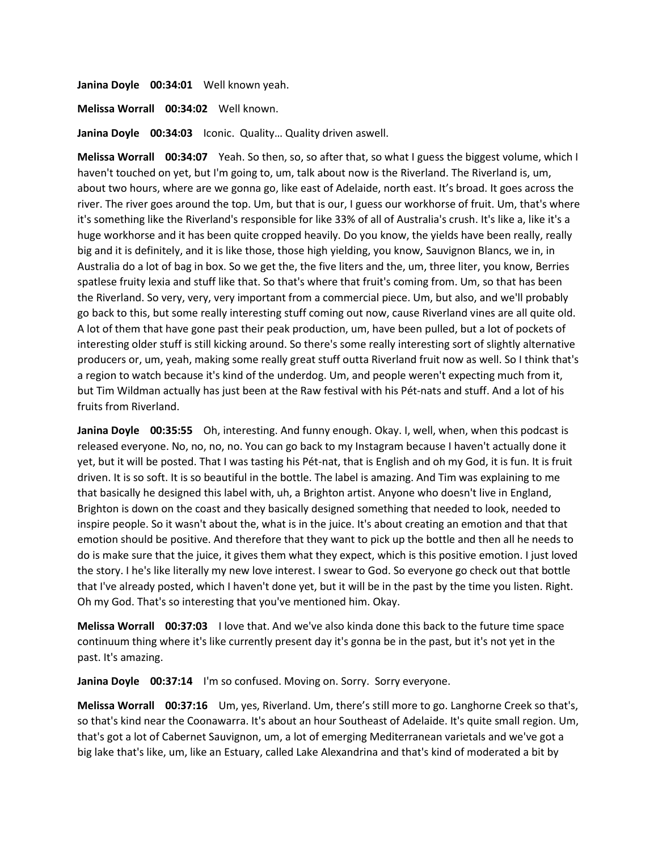**Janina Doyle 00:34:01** Well known yeah.

**Melissa Worrall 00:34:02** Well known.

**Janina Doyle 00:34:03** Iconic. Quality… Quality driven aswell.

**Melissa Worrall 00:34:07** Yeah. So then, so, so after that, so what I guess the biggest volume, which I haven't touched on yet, but I'm going to, um, talk about now is the Riverland. The Riverland is, um, about two hours, where are we gonna go, like east of Adelaide, north east. It's broad. It goes across the river. The river goes around the top. Um, but that is our, I guess our workhorse of fruit. Um, that's where it's something like the Riverland's responsible for like 33% of all of Australia's crush. It's like a, like it's a huge workhorse and it has been quite cropped heavily. Do you know, the yields have been really, really big and it is definitely, and it is like those, those high yielding, you know, Sauvignon Blancs, we in, in Australia do a lot of bag in box. So we get the, the five liters and the, um, three liter, you know, Berries spatlese fruity lexia and stuff like that. So that's where that fruit's coming from. Um, so that has been the Riverland. So very, very, very important from a commercial piece. Um, but also, and we'll probably go back to this, but some really interesting stuff coming out now, cause Riverland vines are all quite old. A lot of them that have gone past their peak production, um, have been pulled, but a lot of pockets of interesting older stuff is still kicking around. So there's some really interesting sort of slightly alternative producers or, um, yeah, making some really great stuff outta Riverland fruit now as well. So I think that's a region to watch because it's kind of the underdog. Um, and people weren't expecting much from it, but Tim Wildman actually has just been at the Raw festival with his Pét-nats and stuff. And a lot of his fruits from Riverland.

**Janina Doyle 00:35:55** Oh, interesting. And funny enough. Okay. I, well, when, when this podcast is released everyone. No, no, no, no. You can go back to my Instagram because I haven't actually done it yet, but it will be posted. That I was tasting his Pét-nat, that is English and oh my God, it is fun. It is fruit driven. It is so soft. It is so beautiful in the bottle. The label is amazing. And Tim was explaining to me that basically he designed this label with, uh, a Brighton artist. Anyone who doesn't live in England, Brighton is down on the coast and they basically designed something that needed to look, needed to inspire people. So it wasn't about the, what is in the juice. It's about creating an emotion and that that emotion should be positive. And therefore that they want to pick up the bottle and then all he needs to do is make sure that the juice, it gives them what they expect, which is this positive emotion. I just loved the story. I he's like literally my new love interest. I swear to God. So everyone go check out that bottle that I've already posted, which I haven't done yet, but it will be in the past by the time you listen. Right. Oh my God. That's so interesting that you've mentioned him. Okay.

**Melissa Worrall 00:37:03** I love that. And we've also kinda done this back to the future time space continuum thing where it's like currently present day it's gonna be in the past, but it's not yet in the past. It's amazing.

**Janina Doyle 00:37:14** I'm so confused. Moving on. Sorry. Sorry everyone.

**Melissa Worrall 00:37:16** Um, yes, Riverland. Um, there's still more to go. Langhorne Creek so that's, so that's kind near the Coonawarra. It's about an hour Southeast of Adelaide. It's quite small region. Um, that's got a lot of Cabernet Sauvignon, um, a lot of emerging Mediterranean varietals and we've got a big lake that's like, um, like an Estuary, called Lake Alexandrina and that's kind of moderated a bit by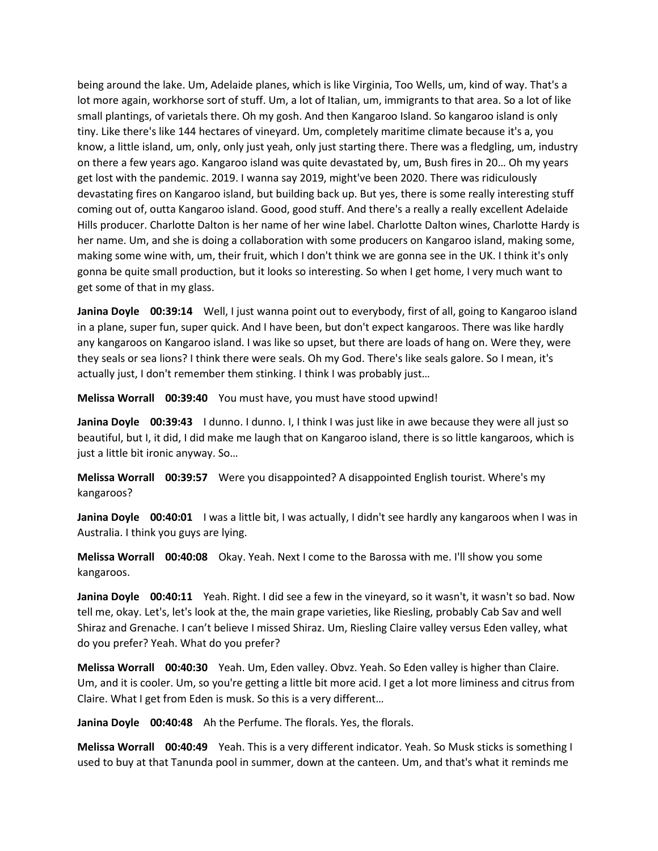being around the lake. Um, Adelaide planes, which is like Virginia, Too Wells, um, kind of way. That's a lot more again, workhorse sort of stuff. Um, a lot of Italian, um, immigrants to that area. So a lot of like small plantings, of varietals there. Oh my gosh. And then Kangaroo Island. So kangaroo island is only tiny. Like there's like 144 hectares of vineyard. Um, completely maritime climate because it's a, you know, a little island, um, only, only just yeah, only just starting there. There was a fledgling, um, industry on there a few years ago. Kangaroo island was quite devastated by, um, Bush fires in 20… Oh my years get lost with the pandemic. 2019. I wanna say 2019, might've been 2020. There was ridiculously devastating fires on Kangaroo island, but building back up. But yes, there is some really interesting stuff coming out of, outta Kangaroo island. Good, good stuff. And there's a really a really excellent Adelaide Hills producer. Charlotte Dalton is her name of her wine label. Charlotte Dalton wines, Charlotte Hardy is her name. Um, and she is doing a collaboration with some producers on Kangaroo island, making some, making some wine with, um, their fruit, which I don't think we are gonna see in the UK. I think it's only gonna be quite small production, but it looks so interesting. So when I get home, I very much want to get some of that in my glass.

**Janina Doyle 00:39:14** Well, I just wanna point out to everybody, first of all, going to Kangaroo island in a plane, super fun, super quick. And I have been, but don't expect kangaroos. There was like hardly any kangaroos on Kangaroo island. I was like so upset, but there are loads of hang on. Were they, were they seals or sea lions? I think there were seals. Oh my God. There's like seals galore. So I mean, it's actually just, I don't remember them stinking. I think I was probably just…

**Melissa Worrall 00:39:40** You must have, you must have stood upwind!

**Janina Doyle 00:39:43** I dunno. I dunno. I, I think I was just like in awe because they were all just so beautiful, but I, it did, I did make me laugh that on Kangaroo island, there is so little kangaroos, which is just a little bit ironic anyway. So…

**Melissa Worrall 00:39:57** Were you disappointed? A disappointed English tourist. Where's my kangaroos?

**Janina Doyle 00:40:01** I was a little bit, I was actually, I didn't see hardly any kangaroos when I was in Australia. I think you guys are lying.

**Melissa Worrall 00:40:08** Okay. Yeah. Next I come to the Barossa with me. I'll show you some kangaroos.

**Janina Doyle 00:40:11** Yeah. Right. I did see a few in the vineyard, so it wasn't, it wasn't so bad. Now tell me, okay. Let's, let's look at the, the main grape varieties, like Riesling, probably Cab Sav and well Shiraz and Grenache. I can't believe I missed Shiraz. Um, Riesling Claire valley versus Eden valley, what do you prefer? Yeah. What do you prefer?

**Melissa Worrall 00:40:30** Yeah. Um, Eden valley. Obvz. Yeah. So Eden valley is higher than Claire. Um, and it is cooler. Um, so you're getting a little bit more acid. I get a lot more liminess and citrus from Claire. What I get from Eden is musk. So this is a very different…

**Janina Doyle 00:40:48** Ah the Perfume. The florals. Yes, the florals.

**Melissa Worrall 00:40:49** Yeah. This is a very different indicator. Yeah. So Musk sticks is something I used to buy at that Tanunda pool in summer, down at the canteen. Um, and that's what it reminds me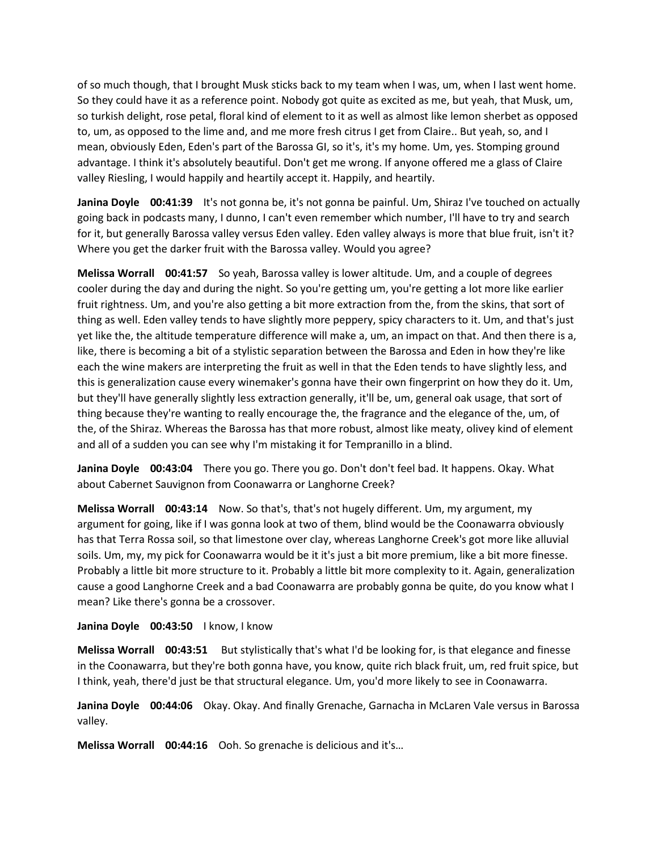of so much though, that I brought Musk sticks back to my team when I was, um, when I last went home. So they could have it as a reference point. Nobody got quite as excited as me, but yeah, that Musk, um, so turkish delight, rose petal, floral kind of element to it as well as almost like lemon sherbet as opposed to, um, as opposed to the lime and, and me more fresh citrus I get from Claire.. But yeah, so, and I mean, obviously Eden, Eden's part of the Barossa GI, so it's, it's my home. Um, yes. Stomping ground advantage. I think it's absolutely beautiful. Don't get me wrong. If anyone offered me a glass of Claire valley Riesling, I would happily and heartily accept it. Happily, and heartily.

**Janina Doyle 00:41:39** It's not gonna be, it's not gonna be painful. Um, Shiraz I've touched on actually going back in podcasts many, I dunno, I can't even remember which number, I'll have to try and search for it, but generally Barossa valley versus Eden valley. Eden valley always is more that blue fruit, isn't it? Where you get the darker fruit with the Barossa valley. Would you agree?

**Melissa Worrall 00:41:57** So yeah, Barossa valley is lower altitude. Um, and a couple of degrees cooler during the day and during the night. So you're getting um, you're getting a lot more like earlier fruit rightness. Um, and you're also getting a bit more extraction from the, from the skins, that sort of thing as well. Eden valley tends to have slightly more peppery, spicy characters to it. Um, and that's just yet like the, the altitude temperature difference will make a, um, an impact on that. And then there is a, like, there is becoming a bit of a stylistic separation between the Barossa and Eden in how they're like each the wine makers are interpreting the fruit as well in that the Eden tends to have slightly less, and this is generalization cause every winemaker's gonna have their own fingerprint on how they do it. Um, but they'll have generally slightly less extraction generally, it'll be, um, general oak usage, that sort of thing because they're wanting to really encourage the, the fragrance and the elegance of the, um, of the, of the Shiraz. Whereas the Barossa has that more robust, almost like meaty, olivey kind of element and all of a sudden you can see why I'm mistaking it for Tempranillo in a blind.

**Janina Doyle 00:43:04** There you go. There you go. Don't don't feel bad. It happens. Okay. What about Cabernet Sauvignon from Coonawarra or Langhorne Creek?

**Melissa Worrall 00:43:14** Now. So that's, that's not hugely different. Um, my argument, my argument for going, like if I was gonna look at two of them, blind would be the Coonawarra obviously has that Terra Rossa soil, so that limestone over clay, whereas Langhorne Creek's got more like alluvial soils. Um, my, my pick for Coonawarra would be it it's just a bit more premium, like a bit more finesse. Probably a little bit more structure to it. Probably a little bit more complexity to it. Again, generalization cause a good Langhorne Creek and a bad Coonawarra are probably gonna be quite, do you know what I mean? Like there's gonna be a crossover.

## Janina Doyle 00:43:50 I know, I know

**Melissa Worrall 00:43:51** But stylistically that's what I'd be looking for, is that elegance and finesse in the Coonawarra, but they're both gonna have, you know, quite rich black fruit, um, red fruit spice, but I think, yeah, there'd just be that structural elegance. Um, you'd more likely to see in Coonawarra.

**Janina Doyle 00:44:06** Okay. Okay. And finally Grenache, Garnacha in McLaren Vale versus in Barossa valley.

**Melissa Worrall 00:44:16** Ooh. So grenache is delicious and it's…